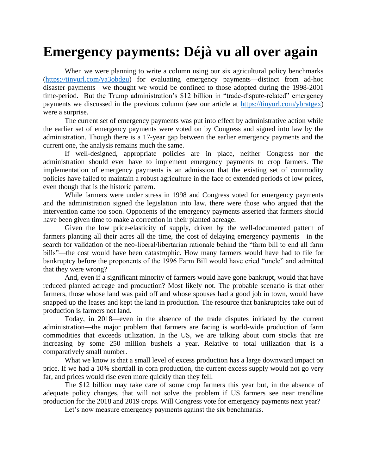## **Emergency payments: Déjà vu all over again**

When we were planning to write a column using our six agricultural policy benchmarks [\(https://tinyurl.com/ya3obdgu\)](https://tinyurl.com/ya3obdgu) for evaluating emergency payments—distinct from ad-hoc disaster payments—we thought we would be confined to those adopted during the 1998-2001 time-period. But the Trump administration's \$12 billion in "trade-dispute-related" emergency payments we discussed in the previous column (see our article at [https://tinyurl.com/ybratgex\)](https://tinyurl.com/ybratgex) were a surprise.

The current set of emergency payments was put into effect by administrative action while the earlier set of emergency payments were voted on by Congress and signed into law by the administration. Though there is a 17-year gap between the earlier emergency payments and the current one, the analysis remains much the same.

If well-designed, appropriate policies are in place, neither Congress nor the administration should ever have to implement emergency payments to crop farmers. The implementation of emergency payments is an admission that the existing set of commodity policies have failed to maintain a robust agriculture in the face of extended periods of low prices, even though that is the historic pattern.

While farmers were under stress in 1998 and Congress voted for emergency payments and the administration signed the legislation into law, there were those who argued that the intervention came too soon. Opponents of the emergency payments asserted that farmers should have been given time to make a correction in their planted acreage.

Given the low price-elasticity of supply, driven by the well-documented pattern of farmers planting all their acres all the time, the cost of delaying emergency payments—in the search for validation of the neo-liberal/libertarian rationale behind the "farm bill to end all farm bills"—the cost would have been catastrophic. How many farmers would have had to file for bankruptcy before the proponents of the 1996 Farm Bill would have cried "uncle" and admitted that they were wrong?

And, even if a significant minority of farmers would have gone bankrupt, would that have reduced planted acreage and production? Most likely not. The probable scenario is that other farmers, those whose land was paid off and whose spouses had a good job in town, would have snapped up the leases and kept the land in production. The resource that bankruptcies take out of production is farmers not land.

Today, in 2018—even in the absence of the trade disputes initiated by the current administration—the major problem that farmers are facing is world-wide production of farm commodities that exceeds utilization. In the US, we are talking about corn stocks that are increasing by some 250 million bushels a year. Relative to total utilization that is a comparatively small number.

What we know is that a small level of excess production has a large downward impact on price. If we had a 10% shortfall in corn production, the current excess supply would not go very far, and prices would rise even more quickly than they fell.

The \$12 billion may take care of some crop farmers this year but, in the absence of adequate policy changes, that will not solve the problem if US farmers see near trendline production for the 2018 and 2019 crops. Will Congress vote for emergency payments next year?

Let's now measure emergency payments against the six benchmarks.